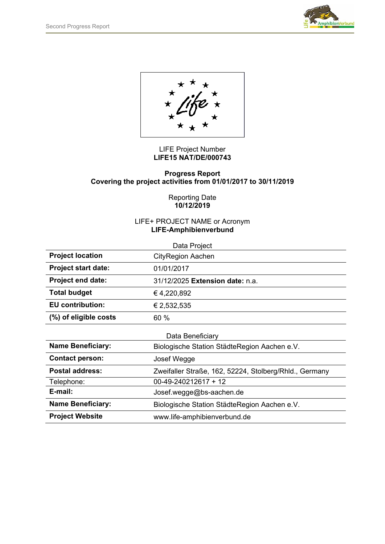

LIFE Project Number **LIFE15 NAT/DE/000743** 

#### **Progress Report Covering the project activities from 01/01/2017 to 30/11/2019**

Reporting Date **10/12/2019** 

### LIFE+ PROJECT NAME or Acronym **LIFE-Amphibienverbund**

| Data Project               |                                                        |
|----------------------------|--------------------------------------------------------|
| <b>Project location</b>    | <b>CityRegion Aachen</b>                               |
| <b>Project start date:</b> | 01/01/2017                                             |
| <b>Project end date:</b>   | 31/12/2025 Extension date: n.a.                        |
| <b>Total budget</b>        | €4,220,892                                             |
| <b>EU</b> contribution:    | € 2,532,535                                            |
| (%) of eligible costs      | 60 %                                                   |
|                            |                                                        |
| Data Beneficiary           |                                                        |
| <b>Name Beneficiary:</b>   | Biologische Station StädteRegion Aachen e.V.           |
| <b>Contact person:</b>     | Josef Wegge                                            |
| <b>Postal address:</b>     | Zweifaller Straße, 162, 52224, Stolberg/Rhld., Germany |
| Telephone:                 | $00-49-240212617+12$                                   |
| E-mail:                    | Josef.wegge@bs-aachen.de                               |
| <b>Name Beneficiary:</b>   | Biologische Station StädteRegion Aachen e.V.           |
| <b>Project Website</b>     | www.life-amphibienverbund.de                           |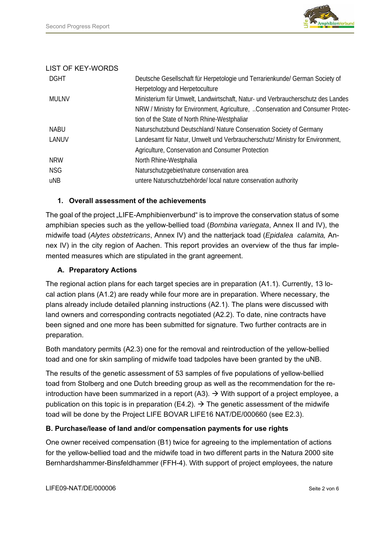

### LIST OF KEY-WORDS

| <b>DGHT</b> | Deutsche Gesellschaft für Herpetologie und Terrarienkunde/ German Society of    |
|-------------|---------------------------------------------------------------------------------|
|             | Herpetology and Herpetoculture                                                  |
| MULNV       | Ministerium für Umwelt, Landwirtschaft, Natur- und Verbraucherschutz des Landes |
|             | NRW / Ministry for Environment, Agriculture, Conservation and Consumer Protec-  |
|             | tion of the State of North Rhine-Westphaliar                                    |
| <b>NABU</b> | Naturschutzbund Deutschland/ Nature Conservation Society of Germany             |
| LANUV       | Landesamt für Natur, Umwelt und Verbraucherschutz/ Ministry for Environment,    |
|             | Agriculture, Conservation and Consumer Protection                               |
| <b>NRW</b>  | North Rhine-Westphalia                                                          |
| <b>NSG</b>  | Naturschutzgebiet/nature conservation area                                      |
| uNB         | untere Naturschutzbehörde/ local nature conservation authority                  |

### **1. Overall assessment of the achievements**

The goal of the project "LIFE-Amphibienverbund" is to improve the conservation status of some amphibian species such as the yellow-bellied toad (*Bombina variegata*, Annex II and IV), the midwife toad (*Alytes obstetricans*, Annex IV) and the natterjack toad (*Epidalea calamita,* Annex IV) in the city region of Aachen. This report provides an overview of the thus far implemented measures which are stipulated in the grant agreement.

### **A. Preparatory Actions**

The regional action plans for each target species are in preparation (A1.1). Currently, 13 local action plans (A1.2) are ready while four more are in preparation. Where necessary, the plans already include detailed planning instructions (A2.1). The plans were discussed with land owners and corresponding contracts negotiated (A2.2). To date, nine contracts have been signed and one more has been submitted for signature. Two further contracts are in preparation.

Both mandatory permits (A2.3) one for the removal and reintroduction of the yellow-bellied toad and one for skin sampling of midwife toad tadpoles have been granted by the uNB.

The results of the genetic assessment of 53 samples of five populations of yellow-bellied toad from Stolberg and one Dutch breeding group as well as the recommendation for the reintroduction have been summarized in a report (A3).  $\rightarrow$  With support of a project employee, a publication on this topic is in preparation (E4.2).  $\rightarrow$  The genetic assessment of the midwife toad will be done by the Project LIFE BOVAR LIFE16 NAT/DE/000660 (see E2.3).

# **B. Purchase/lease of land and/or compensation payments for use rights**

One owner received compensation (B1) twice for agreeing to the implementation of actions for the yellow-bellied toad and the midwife toad in two different parts in the Natura 2000 site Bernhardshammer-Binsfeldhammer (FFH-4). With support of project employees, the nature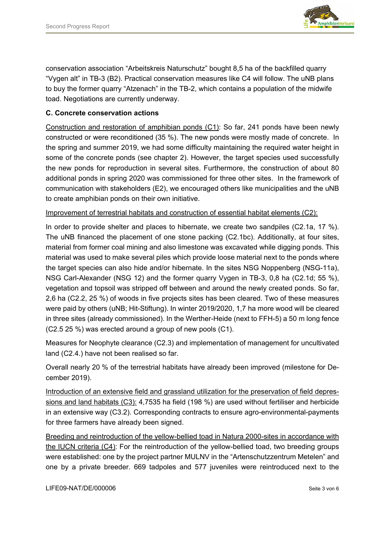

conservation association "Arbeitskreis Naturschutz" bought 8,5 ha of the backfilled quarry "Vygen alt" in TB-3 (B2). Practical conservation measures like C4 will follow. The uNB plans to buy the former quarry "Atzenach" in the TB-2, which contains a population of the midwife toad. Negotiations are currently underway.

# **C. Concrete conservation actions**

Construction and restoration of amphibian ponds (C1): So far, 241 ponds have been newly constructed or were reconditioned (35 %). The new ponds were mostly made of concrete. In the spring and summer 2019, we had some difficulty maintaining the required water height in some of the concrete ponds (see chapter 2). However, the target species used successfully the new ponds for reproduction in several sites. Furthermore, the construction of about 80 additional ponds in spring 2020 was commissioned for three other sites. In the framework of communication with stakeholders (E2), we encouraged others like municipalities and the uNB to create amphibian ponds on their own initiative.

### Improvement of terrestrial habitats and construction of essential habitat elements (C2):

In order to provide shelter and places to hibernate, we create two sandpiles (C2.1a, 17 %). The uNB financed the placement of one stone packing (C2.1bc). Additionally, at four sites, material from former coal mining and also limestone was excavated while digging ponds. This material was used to make several piles which provide loose material next to the ponds where the target species can also hide and/or hibernate. In the sites NSG Noppenberg (NSG-11a), NSG Carl-Alexander (NSG 12) and the former quarry Vygen in TB-3, 0,8 ha (C2.1d; 55 %), vegetation and topsoil was stripped off between and around the newly created ponds. So far, 2,6 ha (C2.2, 25 %) of woods in five projects sites has been cleared. Two of these measures were paid by others (uNB; Hit-Stiftung). In winter 2019/2020, 1,7 ha more wood will be cleared in three sites (already commissioned). In the Werther-Heide (next to FFH-5) a 50 m long fence (C2.5 25 %) was erected around a group of new pools (C1).

Measures for Neophyte clearance (C2.3) and implementation of management for uncultivated land (C2.4.) have not been realised so far.

Overall nearly 20 % of the terrestrial habitats have already been improved (milestone for December 2019).

Introduction of an extensive field and grassland utilization for the preservation of field depressions and land habitats (C3): 4,7535 ha field (198 %) are used without fertiliser and herbicide in an extensive way (C3.2). Corresponding contracts to ensure agro-environmental-payments for three farmers have already been signed.

Breeding and reintroduction of the yellow-bellied toad in Natura 2000-sites in accordance with the IUCN criteria (C4): For the reintroduction of the yellow-bellied toad, two breeding groups were established: one by the project partner MULNV in the "Artenschutzzentrum Metelen" and one by a private breeder. 669 tadpoles and 577 juveniles were reintroduced next to the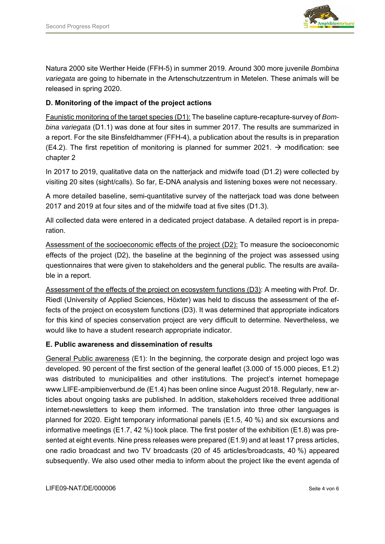

Natura 2000 site Werther Heide (FFH-5) in summer 2019. Around 300 more juvenile *Bombina variegata* are going to hibernate in the Artenschutzzentrum in Metelen. These animals will be released in spring 2020.

# **D. Monitoring of the impact of the project actions**

Faunistic monitoring of the target species (D1): The baseline capture-recapture-survey of *Bombina variegata* (D1.1) was done at four sites in summer 2017. The results are summarized in a report. For the site Binsfeldhammer (FFH-4), a publication about the results is in preparation (E4.2). The first repetition of monitoring is planned for summer 2021.  $\rightarrow$  modification: see chapter 2

In 2017 to 2019, qualitative data on the natterjack and midwife toad (D1.2) were collected by visiting 20 sites (sight/calls). So far, E-DNA analysis and listening boxes were not necessary.

A more detailed baseline, semi-quantitative survey of the natterjack toad was done between 2017 and 2019 at four sites and of the midwife toad at five sites (D1.3).

All collected data were entered in a dedicated project database. A detailed report is in preparation.

Assessment of the socioeconomic effects of the project (D2): To measure the socioeconomic effects of the project (D2), the baseline at the beginning of the project was assessed using questionnaires that were given to stakeholders and the general public. The results are available in a report.

Assessment of the effects of the project on ecosystem functions (D3): A meeting with Prof. Dr. Riedl (University of Applied Sciences, Höxter) was held to discuss the assessment of the effects of the project on ecosystem functions (D3). It was determined that appropriate indicators for this kind of species conservation project are very difficult to determine. Nevertheless, we would like to have a student research appropriate indicator.

#### **E. Public awareness and dissemination of results**

General Public awareness (E1): In the beginning, the corporate design and project logo was developed. 90 percent of the first section of the general leaflet (3.000 of 15.000 pieces, E1.2) was distributed to municipalities and other institutions. The project's internet homepage www.LIFE-ampibienverbund.de (E1.4) has been online since August 2018. Regularly, new articles about ongoing tasks are published. In addition, stakeholders received three additional internet-newsletters to keep them informed. The translation into three other languages is planned for 2020. Eight temporary informational panels (E1.5, 40 %) and six excursions and informative meetings (E1.7, 42 %) took place. The first poster of the exhibition (E1.8) was presented at eight events. Nine press releases were prepared (E1.9) and at least 17 press articles, one radio broadcast and two TV broadcasts (20 of 45 articles/broadcasts, 40 %) appeared subsequently. We also used other media to inform about the project like the event agenda of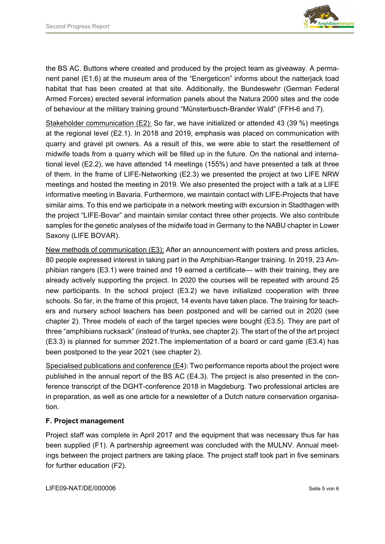

the BS AC. Buttons where created and produced by the project team as giveaway. A permanent panel (E1.6) at the museum area of the "Energeticon" informs about the natterjack toad habitat that has been created at that site. Additionally, the Bundeswehr (German Federal Armed Forces) erected several information panels about the Natura 2000 sites and the code of behaviour at the military training ground "Münsterbusch-Brander Wald" (FFH-6 and 7).

Stakeholder communication (E2): So far, we have initialized or attended 43 (39 %) meetings at the regional level (E2.1). In 2018 and 2019, emphasis was placed on communication with quarry and gravel pit owners. As a result of this, we were able to start the resettlement of midwife toads from a quarry which will be filled up in the future. On the national and international level (E2.2), we have attended 14 meetings (155%) and have presented a talk at three of them. In the frame of LIFE-Networking (E2.3) we presented the project at two LIFE NRW meetings and hosted the meeting in 2019. We also presented the project with a talk at a LIFE informative meeting in Bavaria. Furthermore, we maintain contact with LIFE-Projects that have similar aims. To this end we participate in a network meeting with excursion in Stadthagen with the project "LIFE-Bovar" and maintain similar contact three other projects. We also contribute samples for the genetic analyses of the midwife toad in Germany to the NABU chapter in Lower Saxony (LIFE BOVAR).

New methods of communication (E3): After an announcement with posters and press articles, 80 people expressed interest in taking part in the Amphibian-Ranger training. In 2019, 23 Amphibian rangers (E3.1) were trained and 19 earned a certificate— with their training, they are already actively supporting the project. In 2020 the courses will be repeated with around 25 new participants. In the school project (E3.2) we have initialized cooperation with three schools. So far, in the frame of this project, 14 events have taken place. The training for teachers and nursery school teachers has been postponed and will be carried out in 2020 (see chapter 2). Three models of each of the target species were bought (E3.5). They are part of three "amphibians rucksack" (instead of trunks, see chapter 2). The start of the of the art project (E3.3) is planned for summer 2021.The implementation of a board or card game (E3.4) has been postponed to the year 2021 (see chapter 2).

Specialised publications and conference (E4): Two performance reports about the project were published in the annual report of the BS AC (E4.3). The project is also presented in the conference transcript of the DGHT-conference 2018 in Magdeburg. Two professional articles are in preparation, as well as one article for a newsletter of a Dutch nature conservation organisation.

# **F. Project management**

Project staff was complete in April 2017 and the equipment that was necessary thus far has been supplied (F1). A partnership agreement was concluded with the MULNV. Annual meetings between the project partners are taking place. The project staff took part in five seminars for further education (F2).